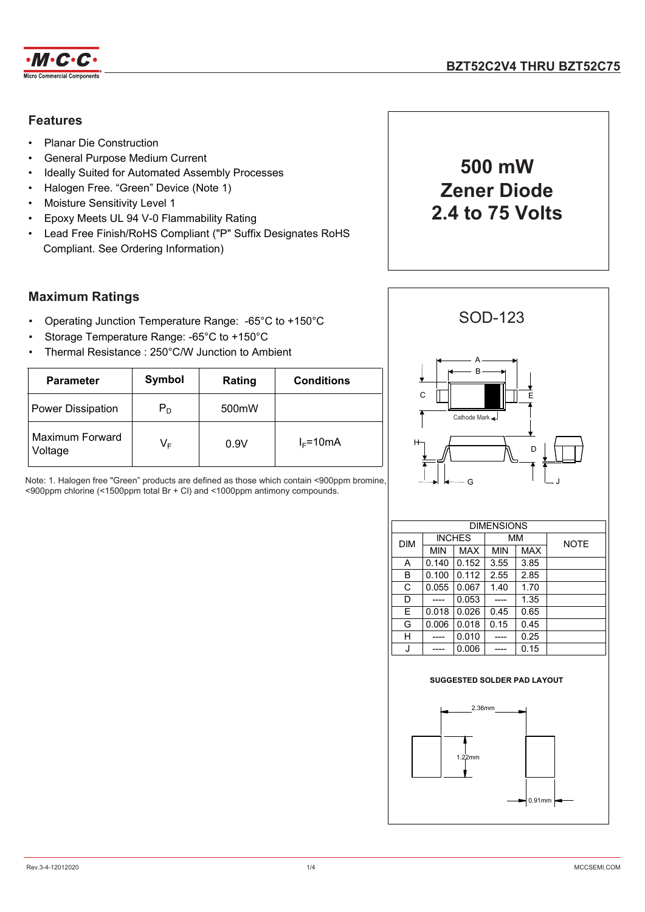

## **Features**

- Planar Die Construction
- General Purpose Medium Current
- Ideally Suited for Automated Assembly Processes
- Halogen Free. "Green" Device (Note 1)
- Moisture Sensitivity Level 1
- Epoxy Meets UL 94 V-0 Flammability Rating
- Lead Free Finish/RoHS Compliant ("P" Suffix Designates RoHS Compliant. See Ordering Information)

### **Maximum Ratings**

- Operating Junction Temperature Range: -65°C to +150°C
- Storage Temperature Range: -65°C to +150°C
- Thermal Resistance : 250°C/W Junction to Ambient

| <b>Parameter</b>                  | Symbol | Rating             | <b>Conditions</b> |  |  |
|-----------------------------------|--------|--------------------|-------------------|--|--|
| <b>Power Dissipation</b>          | $P_D$  | 500 <sub>m</sub> W |                   |  |  |
| <b>Maximum Forward</b><br>Voltage | VF     | 0.9V               | $I_F = 10mA$      |  |  |

Note: 1. Halogen free "Green" products are defined as those which contain <900ppm bromine, <900ppm chlorine (<1500ppm total Br + Cl) and <1000ppm antimony compounds.





|            | <b>DIMENSIONS</b> |               |      |            |             |  |  |
|------------|-------------------|---------------|------|------------|-------------|--|--|
| <b>DIM</b> |                   | <b>INCHES</b> |      | MМ         | <b>NOTE</b> |  |  |
|            | <b>MIN</b>        | MAX           | MIN  | <b>MAX</b> |             |  |  |
| Α          | 0.140             | 0.152         | 3.55 | 3.85       |             |  |  |
| B          | 0.100             | 0.112         | 2.55 | 2.85       |             |  |  |
| C          | 0.055             | 0.067         | 1.40 | 1.70       |             |  |  |
| D          |                   | 0.053         |      | 1.35       |             |  |  |
| E          | 0.018             | 0.026         | 0.45 | 0.65       |             |  |  |
| G          | 0.006             | 0.018         | 0.15 | 0.45       |             |  |  |
| н          |                   | 0.010         |      | 0.25       |             |  |  |
|            |                   | 0.006         |      | 0.15       |             |  |  |

#### **SUGGESTED SOLDER PAD LAYOUT**

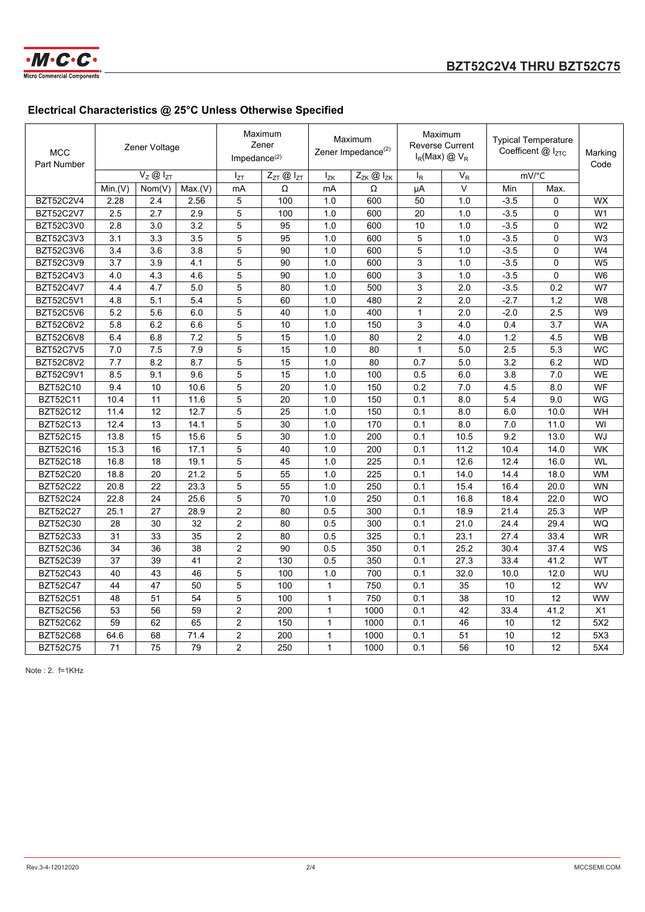

# **Electrical Characteristics @ 25°C Unless Otherwise Specified**

| <b>MCC</b><br>Part Number | Zener Voltage |                                  |         | Maximum<br>Zener<br>Impedance $(2)$ |                                 | Maximum<br>Zener Impedance <sup>(2)</sup> |                                 | Maximum<br><b>Reverse Current</b><br>$I_R$ (Max) $\textcircled{2}$ V <sub>R</sub> |       | <b>Typical Temperature</b><br>Coefficent $@$ $I_{ZTC}$ |             | Marking<br>Code |
|---------------------------|---------------|----------------------------------|---------|-------------------------------------|---------------------------------|-------------------------------------------|---------------------------------|-----------------------------------------------------------------------------------|-------|--------------------------------------------------------|-------------|-----------------|
|                           |               | $V_Z \overline{\omega}$ $V_{ZT}$ |         | $I_{ZT}$                            | $Z_{ZT}$ $\textcircled{1}_{ZT}$ | $I_{ZK}$                                  | $Z_{ZK}$ $\textcircled{1}_{ZK}$ | $I_R$                                                                             | $V_R$ |                                                        | mV/°C       |                 |
|                           | Min.(V)       | Nom(V)                           | Max.(V) | mA                                  | Ω                               | mA                                        | Ω                               | μA                                                                                | V     | Min                                                    | Max.        |                 |
| <b>BZT52C2V4</b>          | 2.28          | 2.4                              | 2.56    | 5                                   | 100                             | 1.0                                       | 600                             | 50                                                                                | 1.0   | $-3.5$                                                 | 0           | <b>WX</b>       |
| <b>BZT52C2V7</b>          | 2.5           | 2.7                              | 2.9     | 5                                   | 100                             | 1.0                                       | 600                             | 20                                                                                | 1.0   | $-3.5$                                                 | $\mathbf 0$ | W <sub>1</sub>  |
| <b>BZT52C3V0</b>          | 2.8           | 3.0                              | 3.2     | 5                                   | 95                              | 1.0                                       | 600                             | 10                                                                                | 1.0   | $-3.5$                                                 | 0           | W <sub>2</sub>  |
| BZT52C3V3                 | 3.1           | 3.3                              | 3.5     | 5                                   | 95                              | 1.0                                       | 600                             | 5                                                                                 | 1.0   | $-3.5$                                                 | 0           | W <sub>3</sub>  |
| <b>BZT52C3V6</b>          | 3.4           | 3.6                              | 3.8     | 5                                   | 90                              | 1.0                                       | 600                             | 5                                                                                 | 1.0   | $-3.5$                                                 | 0           | W4              |
| BZT52C3V9                 | 3.7           | 3.9                              | 4.1     | 5                                   | 90                              | 1.0                                       | 600                             | 3                                                                                 | 1.0   | $-3.5$                                                 | $\mathbf 0$ | W <sub>5</sub>  |
| <b>BZT52C4V3</b>          | 4.0           | 4.3                              | 4.6     | 5                                   | 90                              | 1.0                                       | 600                             | 3                                                                                 | 1.0   | $-3.5$                                                 | $\Omega$    | W <sub>6</sub>  |
| <b>BZT52C4V7</b>          | 4.4           | 4.7                              | 5.0     | 5                                   | 80                              | 1.0                                       | 500                             | 3                                                                                 | 2.0   | $-3.5$                                                 | 0.2         | W7              |
| BZT52C5V1                 | 4.8           | 5.1                              | 5.4     | 5                                   | 60                              | 1.0                                       | 480                             | $\overline{c}$                                                                    | 2.0   | $-2.7$                                                 | 1.2         | W8              |
| BZT52C5V6                 | 5.2           | 5.6                              | 6.0     | 5                                   | 40                              | 1.0                                       | 400                             | $\mathbf{1}$                                                                      | 2.0   | $-2.0$                                                 | 2.5         | W9              |
| <b>BZT52C6V2</b>          | 5.8           | 6.2                              | 6.6     | 5                                   | 10                              | 1.0                                       | 150                             | 3                                                                                 | 4.0   | 0.4                                                    | 3.7         | <b>WA</b>       |
| <b>BZT52C6V8</b>          | 6.4           | 6.8                              | 7.2     | 5                                   | 15                              | 1.0                                       | 80                              | $\overline{2}$                                                                    | 4.0   | 1.2                                                    | 4.5         | <b>WB</b>       |
| <b>BZT52C7V5</b>          | 7.0           | 7.5                              | 7.9     | 5                                   | 15                              | 1.0                                       | 80                              | $\mathbf{1}$                                                                      | 5.0   | 2.5                                                    | 5.3         | <b>WC</b>       |
| <b>BZT52C8V2</b>          | 7.7           | 8.2                              | 8.7     | 5                                   | 15                              | 1.0                                       | 80                              | 0.7                                                                               | 5.0   | 3.2                                                    | 6.2         | <b>WD</b>       |
| <b>BZT52C9V1</b>          | 8.5           | 9.1                              | 9.6     | 5                                   | 15                              | 1.0                                       | 100                             | 0.5                                                                               | 6.0   | 3.8                                                    | 7.0         | <b>WE</b>       |
| <b>BZT52C10</b>           | 9.4           | 10                               | 10.6    | 5                                   | 20                              | 1.0                                       | 150                             | 0.2                                                                               | 7.0   | 4.5                                                    | 8.0         | WF              |
| <b>BZT52C11</b>           | 10.4          | 11                               | 11.6    | 5                                   | 20                              | 1.0                                       | 150                             | 0.1                                                                               | 8.0   | 5.4                                                    | 9.0         | WG              |
| <b>BZT52C12</b>           | 11.4          | 12                               | 12.7    | 5                                   | 25                              | 1.0                                       | 150                             | 0.1                                                                               | 8.0   | 6.0                                                    | 10.0        | WH              |
| <b>BZT52C13</b>           | 12.4          | 13                               | 14.1    | 5                                   | 30                              | 1.0                                       | 170                             | 0.1                                                                               | 8.0   | 7.0                                                    | 11.0        | WI              |
| <b>BZT52C15</b>           | 13.8          | 15                               | 15.6    | 5                                   | 30                              | 1.0                                       | 200                             | 0.1                                                                               | 10.5  | 9.2                                                    | 13.0        | WJ              |
| <b>BZT52C16</b>           | 15.3          | 16                               | 17.1    | 5                                   | 40                              | 1.0                                       | 200                             | 0.1                                                                               | 11.2  | 10.4                                                   | 14.0        | WK              |
| <b>BZT52C18</b>           | 16.8          | 18                               | 19.1    | 5                                   | 45                              | 1.0                                       | 225                             | 0.1                                                                               | 12.6  | 12.4                                                   | 16.0        | <b>WL</b>       |
| <b>BZT52C20</b>           | 18.8          | 20                               | 21.2    | 5                                   | 55                              | 1.0                                       | 225                             | 0.1                                                                               | 14.0  | 14.4                                                   | 18.0        | <b>WM</b>       |
| <b>BZT52C22</b>           | 20.8          | 22                               | 23.3    | 5                                   | 55                              | 1.0                                       | 250                             | 0.1                                                                               | 15.4  | 16.4                                                   | 20.0        | <b>WN</b>       |
| <b>BZT52C24</b>           | 22.8          | 24                               | 25.6    | 5                                   | 70                              | 1.0                                       | 250                             | 0.1                                                                               | 16.8  | 18.4                                                   | 22.0        | <b>WO</b>       |
| <b>BZT52C27</b>           | 25.1          | 27                               | 28.9    | $\overline{c}$                      | 80                              | 0.5                                       | 300                             | 0.1                                                                               | 18.9  | 21.4                                                   | 25.3        | <b>WP</b>       |
| <b>BZT52C30</b>           | 28            | 30                               | 32      | 2                                   | 80                              | 0.5                                       | 300                             | 0.1                                                                               | 21.0  | 24.4                                                   | 29.4        | WQ              |
| <b>BZT52C33</b>           | 31            | 33                               | 35      | $\overline{c}$                      | 80                              | 0.5                                       | 325                             | 0.1                                                                               | 23.1  | 27.4                                                   | 33.4        | <b>WR</b>       |
| <b>BZT52C36</b>           | 34            | 36                               | 38      | 2                                   | 90                              | 0.5                                       | 350                             | 0.1                                                                               | 25.2  | 30.4                                                   | 37.4        | WS              |
| <b>BZT52C39</b>           | 37            | 39                               | 41      | $\overline{2}$                      | 130                             | 0.5                                       | 350                             | 0.1                                                                               | 27.3  | 33.4                                                   | 41.2        | WT              |
| <b>BZT52C43</b>           | 40            | 43                               | 46      | 5                                   | 100                             | 1.0                                       | 700                             | 0.1                                                                               | 32.0  | 10.0                                                   | 12.0        | WU              |
| <b>BZT52C47</b>           | 44            | 47                               | 50      | 5                                   | 100                             | 1                                         | 750                             | 0.1                                                                               | 35    | 10                                                     | 12          | WV              |
| <b>BZT52C51</b>           | 48            | 51                               | 54      | 5                                   | 100                             | $\mathbf{1}$                              | 750                             | 0.1                                                                               | 38    | 10                                                     | 12          | <b>WW</b>       |
| <b>BZT52C56</b>           | 53            | 56                               | 59      | $\overline{2}$                      | 200                             | $\mathbf{1}$                              | 1000                            | 0.1                                                                               | 42    | 33.4                                                   | 41.2        | X1              |
| <b>BZT52C62</b>           | 59            | 62                               | 65      | $\overline{2}$                      | 150                             | $\mathbf{1}$                              | 1000                            | 0.1                                                                               | 46    | 10                                                     | 12          | 5X2             |
| <b>BZT52C68</b>           | 64.6          | 68                               | 71.4    | $\overline{c}$                      | 200                             | $\mathbf{1}$                              | 1000                            | 0.1                                                                               | 51    | 10                                                     | 12          | 5X3             |
| <b>BZT52C75</b>           | 71            | 75                               | 79      | $\overline{2}$                      | 250                             | $\mathbf{1}$                              | 1000                            | 0.1                                                                               | 56    | 10                                                     | 12          | 5X4             |

Note : 2. f=1KHz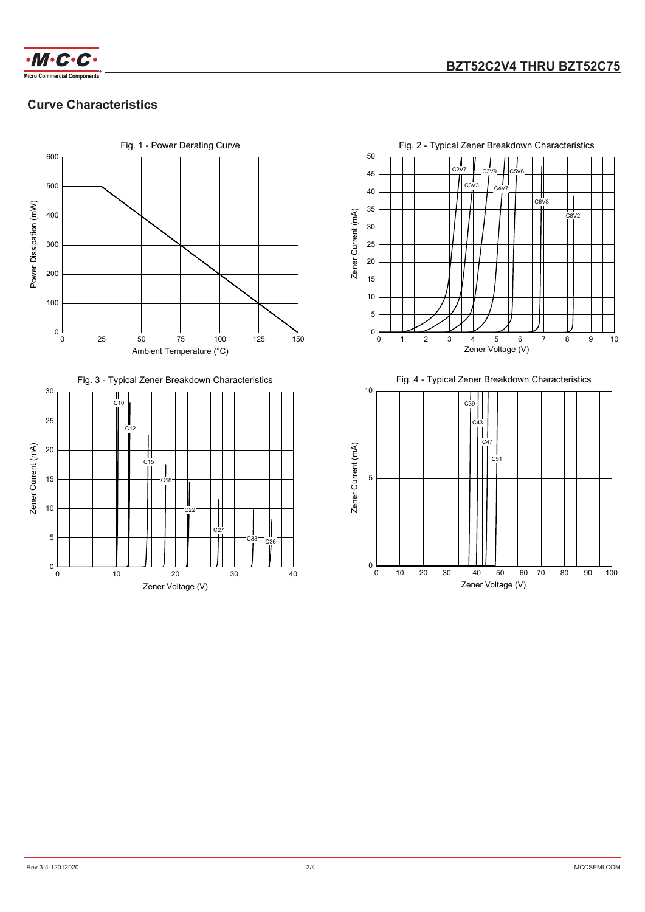

## **Curve Characteristics**